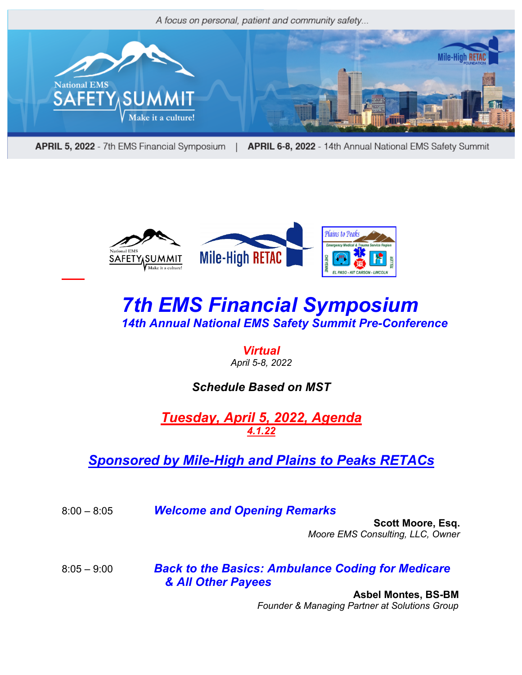

**APRIL 5, 2022** - 7th EMS Financial Symposium | APRIL 6-8, 2022 - 14th Annual National EMS Safety Summit



# *7th EMS Financial Symposium 14th Annual National EMS Safety Summit Pre-Conference*

#### *Virtual April 5-8, 2022*

#### *Schedule Based on MST*

*Tuesday, April 5, 2022, Agenda 4.1.22*

### *Sponsored by Mile-High and Plains to Peaks RETACs*

8:00 – 8:05 *Welcome and Opening Remarks*

 **Scott Moore, Esq.** *Moore EMS Consulting, LLC, Owner* 

8:05 – 9:00 *Back to the Basics: Ambulance Coding for Medicare & All Other Payees* 

> **Asbel Montes, BS-BM** *Founder & Managing Partner at Solutions Group*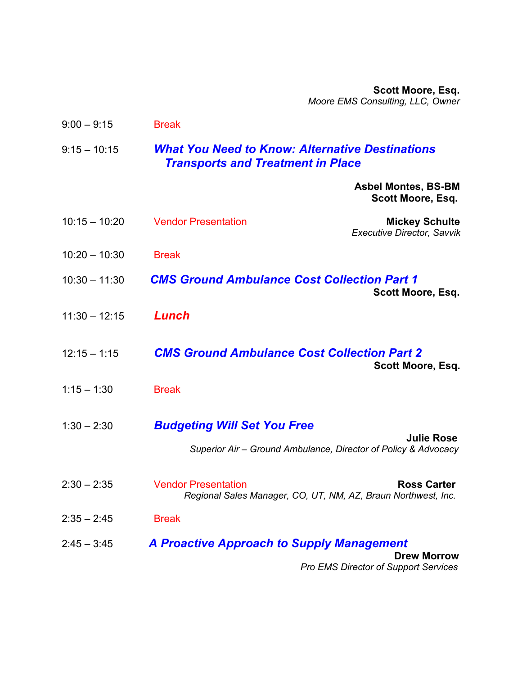*<u>Example 20</u> Scott Moore, Esq.* *Moore EMS Consulting, LLC, Owner* 

| $9:00 - 9:15$<br><b>Break</b>                                                                                         |                                                                   |
|-----------------------------------------------------------------------------------------------------------------------|-------------------------------------------------------------------|
| <b>What You Need to Know: Alternative Destinations</b><br>$9:15 - 10:15$<br><b>Transports and Treatment in Place</b>  |                                                                   |
|                                                                                                                       | <b>Asbel Montes, BS-BM</b><br>Scott Moore, Esq.                   |
| $10:15 - 10:20$<br><b>Vendor Presentation</b>                                                                         | <b>Mickey Schulte</b><br><b>Executive Director, Savvik</b>        |
| $10:20 - 10:30$<br><b>Break</b>                                                                                       |                                                                   |
| <b>CMS Ground Ambulance Cost Collection Part 1</b><br>$10:30 - 11:30$                                                 | Scott Moore, Esq.                                                 |
| Lunch<br>$11:30 - 12:15$                                                                                              |                                                                   |
| <b>CMS Ground Ambulance Cost Collection Part 2</b><br>$12:15 - 1:15$                                                  | Scott Moore, Esq.                                                 |
| $1:15 - 1:30$<br><b>Break</b>                                                                                         |                                                                   |
| <b>Budgeting Will Set You Free</b><br>$1:30 - 2:30$<br>Superior Air - Ground Ambulance, Director of Policy & Advocacy | <b>Julie Rose</b>                                                 |
| $2:30 - 2:35$<br><b>Vendor Presentation</b><br>Regional Sales Manager, CO, UT, NM, AZ, Braun Northwest, Inc.          | <b>Ross Carter</b>                                                |
| $2:35 - 2:45$<br><b>Break</b>                                                                                         |                                                                   |
| <b>A Proactive Approach to Supply Management</b><br>$2:45 - 3:45$                                                     | <b>Drew Morrow</b><br><b>Pro EMS Director of Support Services</b> |